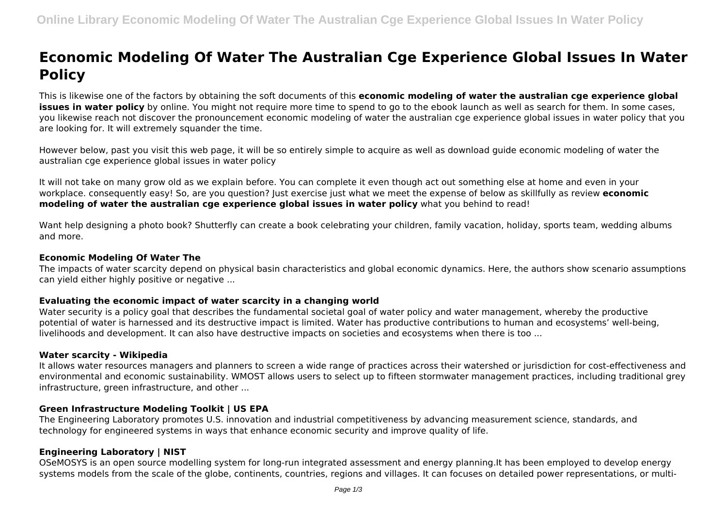# **Economic Modeling Of Water The Australian Cge Experience Global Issues In Water Policy**

This is likewise one of the factors by obtaining the soft documents of this **economic modeling of water the australian cge experience global issues in water policy** by online. You might not require more time to spend to go to the ebook launch as well as search for them. In some cases, you likewise reach not discover the pronouncement economic modeling of water the australian cge experience global issues in water policy that you are looking for. It will extremely squander the time.

However below, past you visit this web page, it will be so entirely simple to acquire as well as download guide economic modeling of water the australian cge experience global issues in water policy

It will not take on many grow old as we explain before. You can complete it even though act out something else at home and even in your workplace. consequently easy! So, are you question? Just exercise just what we meet the expense of below as skillfully as review **economic modeling of water the australian cge experience global issues in water policy** what you behind to read!

Want help designing a photo book? Shutterfly can create a book celebrating your children, family vacation, holiday, sports team, wedding albums and more.

#### **Economic Modeling Of Water The**

The impacts of water scarcity depend on physical basin characteristics and global economic dynamics. Here, the authors show scenario assumptions can yield either highly positive or negative ...

# **Evaluating the economic impact of water scarcity in a changing world**

Water security is a policy goal that describes the fundamental societal goal of water policy and water management, whereby the productive potential of water is harnessed and its destructive impact is limited. Water has productive contributions to human and ecosystems' well-being, livelihoods and development. It can also have destructive impacts on societies and ecosystems when there is too ...

#### **Water scarcity - Wikipedia**

It allows water resources managers and planners to screen a wide range of practices across their watershed or jurisdiction for cost-effectiveness and environmental and economic sustainability. WMOST allows users to select up to fifteen stormwater management practices, including traditional grey infrastructure, green infrastructure, and other ...

# **Green Infrastructure Modeling Toolkit | US EPA**

The Engineering Laboratory promotes U.S. innovation and industrial competitiveness by advancing measurement science, standards, and technology for engineered systems in ways that enhance economic security and improve quality of life.

# **Engineering Laboratory | NIST**

OSeMOSYS is an open source modelling system for long-run integrated assessment and energy planning.It has been employed to develop energy systems models from the scale of the globe, continents, countries, regions and villages. It can focuses on detailed power representations, or multi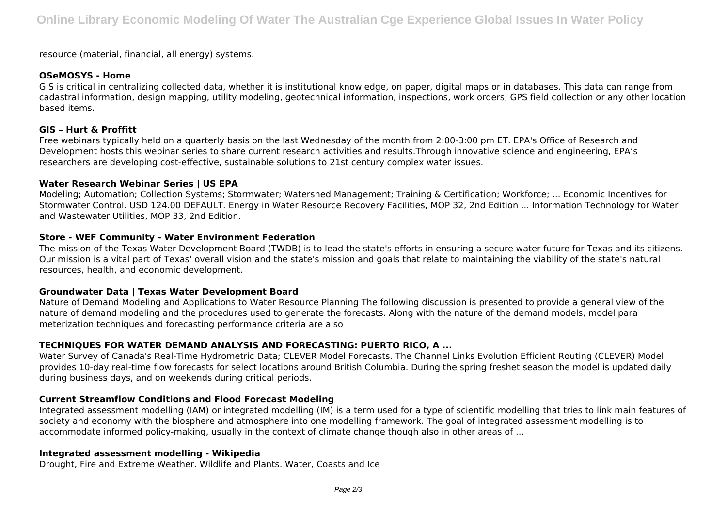resource (material, financial, all energy) systems.

#### **OSeMOSYS - Home**

GIS is critical in centralizing collected data, whether it is institutional knowledge, on paper, digital maps or in databases. This data can range from cadastral information, design mapping, utility modeling, geotechnical information, inspections, work orders, GPS field collection or any other location based items.

#### **GIS – Hurt & Proffitt**

Free webinars typically held on a quarterly basis on the last Wednesday of the month from 2:00-3:00 pm ET. EPA's Office of Research and Development hosts this webinar series to share current research activities and results.Through innovative science and engineering, EPA's researchers are developing cost-effective, sustainable solutions to 21st century complex water issues.

#### **Water Research Webinar Series | US EPA**

Modeling; Automation; Collection Systems; Stormwater; Watershed Management; Training & Certification; Workforce; ... Economic Incentives for Stormwater Control. USD 124.00 DEFAULT. Energy in Water Resource Recovery Facilities, MOP 32, 2nd Edition ... Information Technology for Water and Wastewater Utilities, MOP 33, 2nd Edition.

# **Store - WEF Community - Water Environment Federation**

The mission of the Texas Water Development Board (TWDB) is to lead the state's efforts in ensuring a secure water future for Texas and its citizens. Our mission is a vital part of Texas' overall vision and the state's mission and goals that relate to maintaining the viability of the state's natural resources, health, and economic development.

# **Groundwater Data | Texas Water Development Board**

Nature of Demand Modeling and Applications to Water Resource Planning The following discussion is presented to provide a general view of the nature of demand modeling and the procedures used to generate the forecasts. Along with the nature of the demand models, model para meterization techniques and forecasting performance criteria are also

# **TECHNIQUES FOR WATER DEMAND ANALYSIS AND FORECASTING: PUERTO RICO, A ...**

Water Survey of Canada's Real-Time Hydrometric Data; CLEVER Model Forecasts. The Channel Links Evolution Efficient Routing (CLEVER) Model provides 10-day real-time flow forecasts for select locations around British Columbia. During the spring freshet season the model is updated daily during business days, and on weekends during critical periods.

# **Current Streamflow Conditions and Flood Forecast Modeling**

Integrated assessment modelling (IAM) or integrated modelling (IM) is a term used for a type of scientific modelling that tries to link main features of society and economy with the biosphere and atmosphere into one modelling framework. The goal of integrated assessment modelling is to accommodate informed policy-making, usually in the context of climate change though also in other areas of ...

# **Integrated assessment modelling - Wikipedia**

Drought, Fire and Extreme Weather. Wildlife and Plants. Water, Coasts and Ice